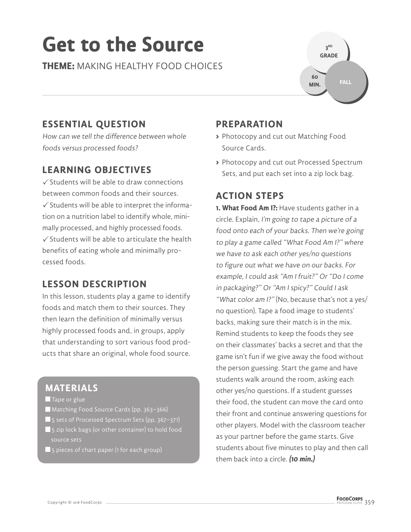# **Get to the Source**

**THEME:** MAKING HEALTHY FOOD CHOICES



## **ESSENTIAL QUESTION**

How can we tell the difference between whole foods versus processed foods?

### **LEARNING OBJECTIVES**

 $\checkmark$  Students will be able to draw connections between common foods and their sources.  $\checkmark$  Students will be able to interpret the information on a nutrition label to identify whole, minimally processed, and highly processed foods.  $\checkmark$  Students will be able to articulate the health benefits of eating whole and minimally processed foods.

### **LESSON DESCRIPTION**

In this lesson, students play a game to identify foods and match them to their sources. They then learn the definition of minimally versus highly processed foods and, in groups, apply that understanding to sort various food products that share an original, whole food source.

### **MATERIALS**

- Tape or glue
- Matching Food Source Cards (pp. 363–366)
- 5 sets of Processed Spectrum Sets (pp. 367-371) **5** 5 zip lock bags (or other container) to hold food source sets
- **5** pieces of chart paper (1 for each group)

### **PREPARATION**

- **>** Photocopy and cut out Matching Food Source Cards.
- **>** Photocopy and cut out Processed Spectrum Sets, and put each set into a zip lock bag.

### **ACTION STEPS**

**1. What Food Am I?:** Have students gather in a circle. Explain, I'm going to tape a picture of a food onto each of your backs. Then we're going to play a game called "What Food Am I?" where we have to ask each other yes/no questions to figure out what we have on our backs. For example, I could ask "Am I fruit?" Or "Do I come in packaging?" Or "Am I spicy?" Could I ask "What color am I?" (No, because that's not a yes/ no question). Tape a food image to students' backs, making sure their match is in the mix. Remind students to keep the foods they see on their classmates' backs a secret and that the game isn't fun if we give away the food without the person guessing. Start the game and have students walk around the room, asking each other yes/no questions. If a student guesses their food, the student can move the card onto their front and continue answering questions for other players. Model with the classroom teacher as your partner before the game starts. Give students about five minutes to play and then call them back into a circle. **(10 min.)**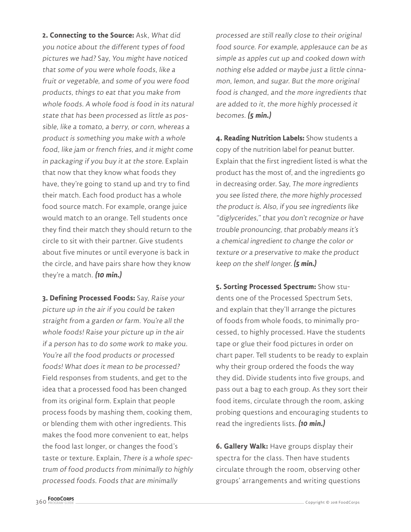**2. Connecting to the Source:** Ask, What did you notice about the different types of food pictures we had? Say, You might have noticed that some of you were whole foods, like a fruit or vegetable, and some of you were food products, things to eat that you make from whole foods. A whole food is food in its natural state that has been processed as little as possible, like a tomato, a berry, or corn, whereas a product is something you make with a whole food, like jam or french fries, and it might come in packaging if you buy it at the store. Explain that now that they know what foods they have, they're going to stand up and try to find their match. Each food product has a whole food source match. For example, orange juice would match to an orange. Tell students once they find their match they should return to the circle to sit with their partner. Give students about five minutes or until everyone is back in the circle, and have pairs share how they know they're a match. **(10 min.)**

**3. Defining Processed Foods:** Say, Raise your picture up in the air if you could be taken straight from a garden or farm. You're all the whole foods! Raise your picture up in the air if a person has to do some work to make you. You're all the food products or processed foods! What does it mean to be processed? Field responses from students, and get to the idea that a processed food has been changed from its original form. Explain that people process foods by mashing them, cooking them, or blending them with other ingredients. This makes the food more convenient to eat, helps the food last longer, or changes the food's taste or texture. Explain, There is a whole spectrum of food products from minimally to highly processed foods. Foods that are minimally

processed are still really close to their original food source. For example, applesauce can be as simple as apples cut up and cooked down with nothing else added or maybe just a little cinnamon, lemon, and sugar. But the more original food is changed, and the more ingredients that are added to it, the more highly processed it becomes. **(5 min.)**

**4. Reading Nutrition Labels:** Show students a copy of the nutrition label for peanut butter. Explain that the first ingredient listed is what the product has the most of, and the ingredients go in decreasing order. Say, The more ingredients you see listed there, the more highly processed the product is. Also, if you see ingredients like "diglycerides," that you don't recognize or have trouble pronouncing, that probably means it's a chemical ingredient to change the color or texture or a preservative to make the product keep on the shelf longer. **(5 min.)**

**5. Sorting Processed Spectrum:** Show students one of the Processed Spectrum Sets, and explain that they'll arrange the pictures of foods from whole foods, to minimally processed, to highly processed. Have the students tape or glue their food pictures in order on chart paper. Tell students to be ready to explain why their group ordered the foods the way they did. Divide students into five groups, and pass out a bag to each group. As they sort their food items, circulate through the room, asking probing questions and encouraging students to read the ingredients lists. **(10 min.)**

**6. Gallery Walk:** Have groups display their spectra for the class. Then have students circulate through the room, observing other groups' arrangements and writing questions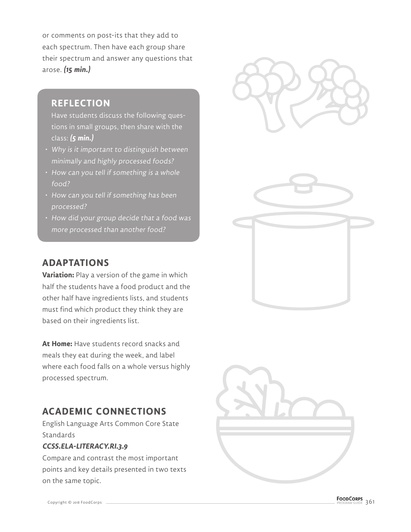or comments on post-its that they add to each spectrum. Then have each group share their spectrum and answer any questions that arose. **(15 min.)**

### **REFLECTION**

Have students discuss the following questions in small groups, then share with the class: **(5 min.)**

- Why is it important to distinguish between minimally and highly processed foods?
- How can you tell if something is a whole food?
- How can you tell if something has been processed?
- How did your group decide that a food was more processed than another food?

### **ADAPTATIONS**

**Variation:** Play a version of the game in which half the students have a food product and the other half have ingredients lists, and students must find which product they think they are based on their ingredients list.

**At Home:** Have students record snacks and meals they eat during the week, and label where each food falls on a whole versus highly processed spectrum.

### **ACADEMIC CONNECTIONS**

English Language Arts Common Core State Standards

#### **CCSS.ELA-LITERACY.RI.3.9**

Compare and contrast the most important points and key details presented in two texts on the same topic.



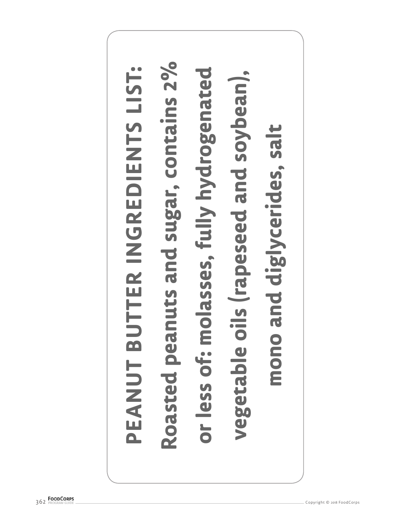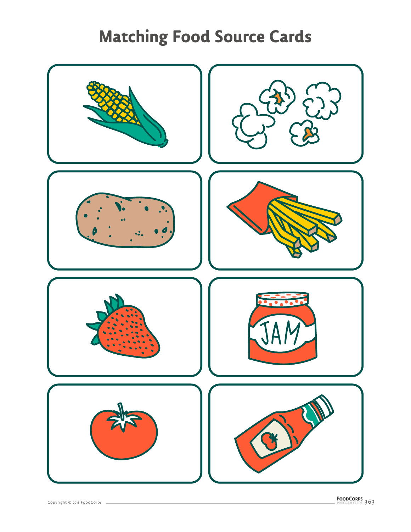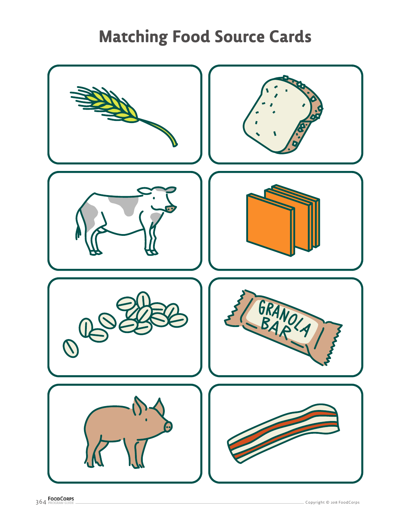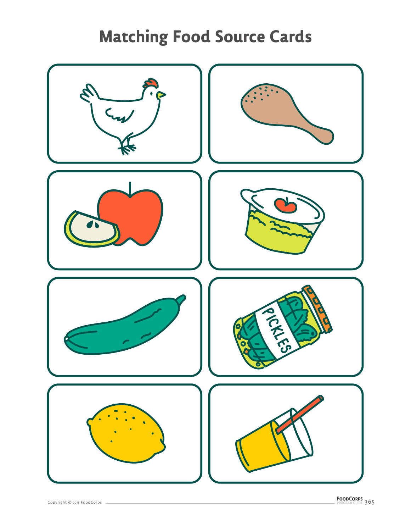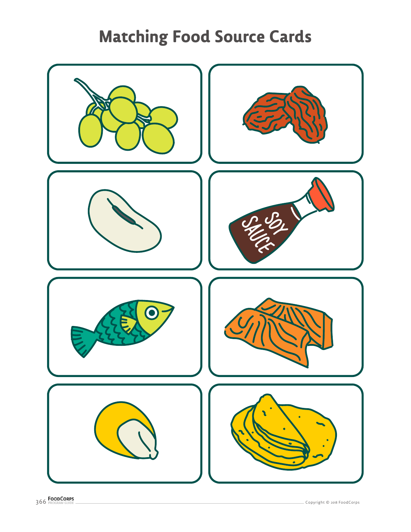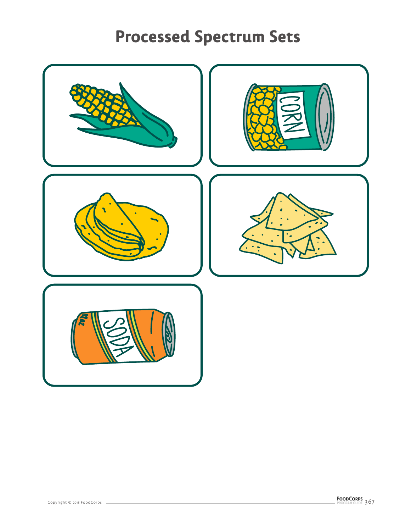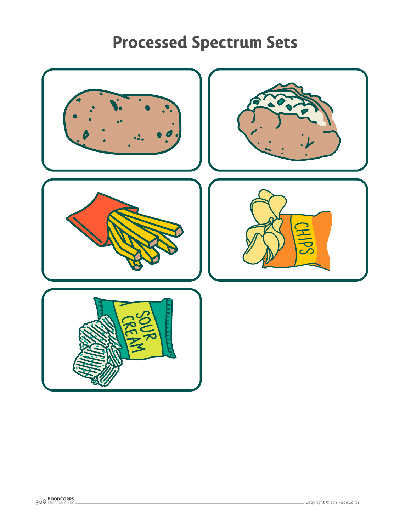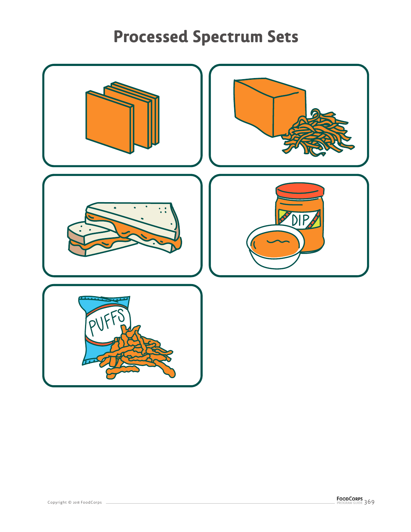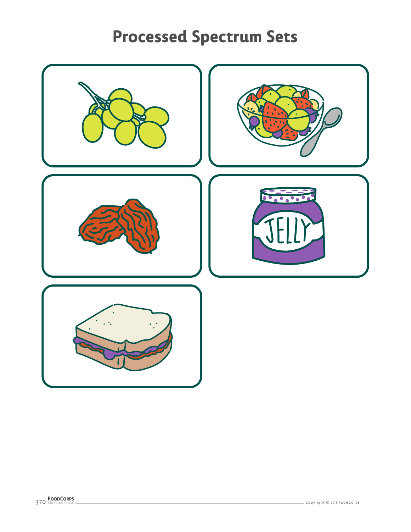